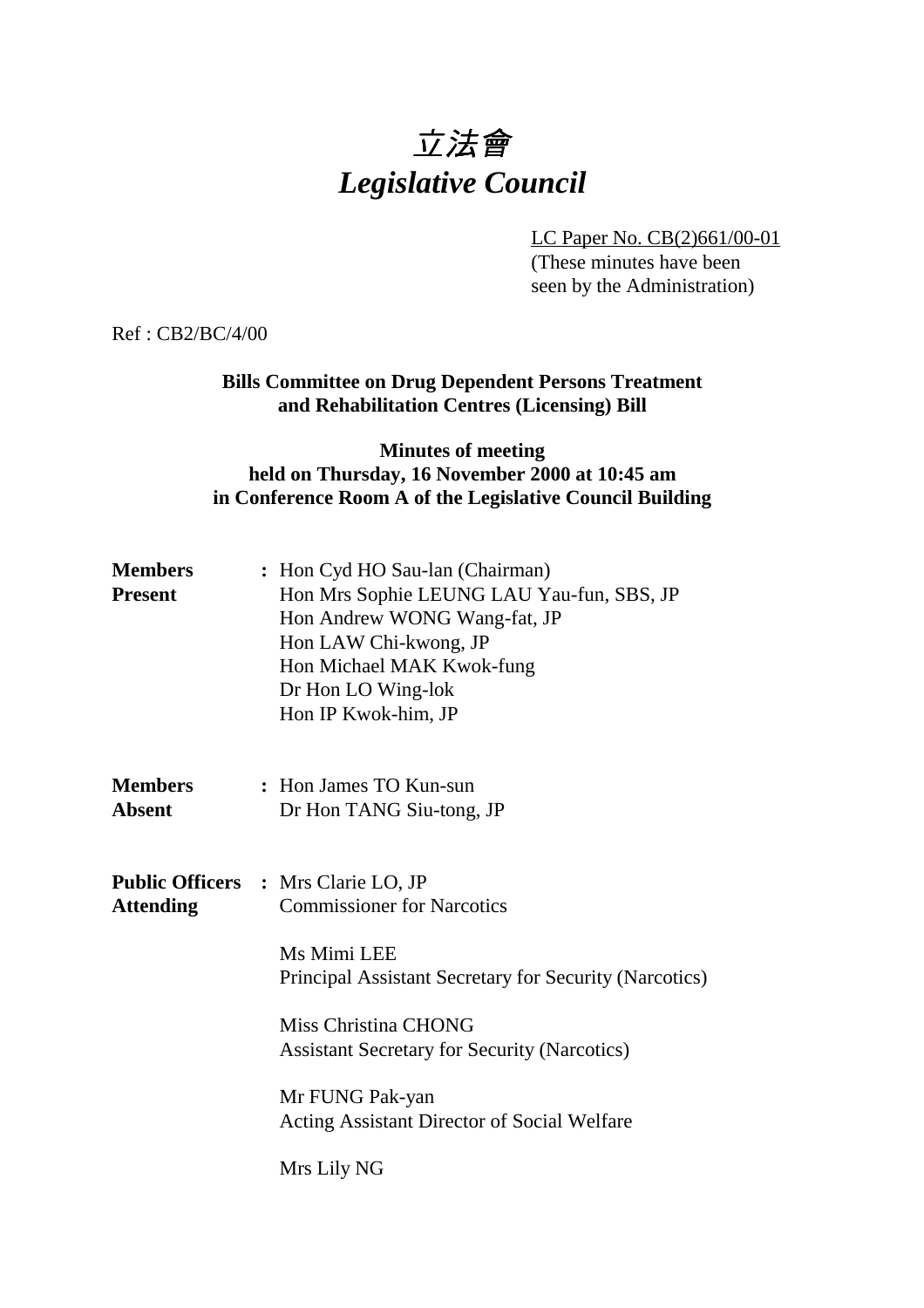# 立法會 *Legislative Council*

LC Paper No. CB(2)661/00-01

(These minutes have been seen by the Administration)

Ref : CB2/BC/4/00

### **Bills Committee on Drug Dependent Persons Treatment and Rehabilitation Centres (Licensing) Bill**

#### **Minutes of meeting held on Thursday, 16 November 2000 at 10:45 am in Conference Room A of the Legislative Council Building**

| <b>Members</b><br><b>Present</b> | : Hon Cyd HO Sau-lan (Chairman)<br>Hon Mrs Sophie LEUNG LAU Yau-fun, SBS, JP<br>Hon Andrew WONG Wang-fat, JP<br>Hon LAW Chi-kwong, JP<br>Hon Michael MAK Kwok-fung<br>Dr Hon LO Wing-lok<br>Hon IP Kwok-him, JP |
|----------------------------------|-----------------------------------------------------------------------------------------------------------------------------------------------------------------------------------------------------------------|
| <b>Members</b><br><b>Absent</b>  | : Hon James TO Kun-sun<br>Dr Hon TANG Siu-tong, JP                                                                                                                                                              |
| <b>Attending</b>                 | <b>Public Officers : Mrs Clarie LO, JP</b><br><b>Commissioner for Narcotics</b>                                                                                                                                 |
|                                  | Ms Mimi LEE<br>Principal Assistant Secretary for Security (Narcotics)                                                                                                                                           |
|                                  | Miss Christina CHONG<br><b>Assistant Secretary for Security (Narcotics)</b>                                                                                                                                     |
|                                  | Mr FUNG Pak-yan<br>Acting Assistant Director of Social Welfare                                                                                                                                                  |
|                                  | Mrs Lily NG                                                                                                                                                                                                     |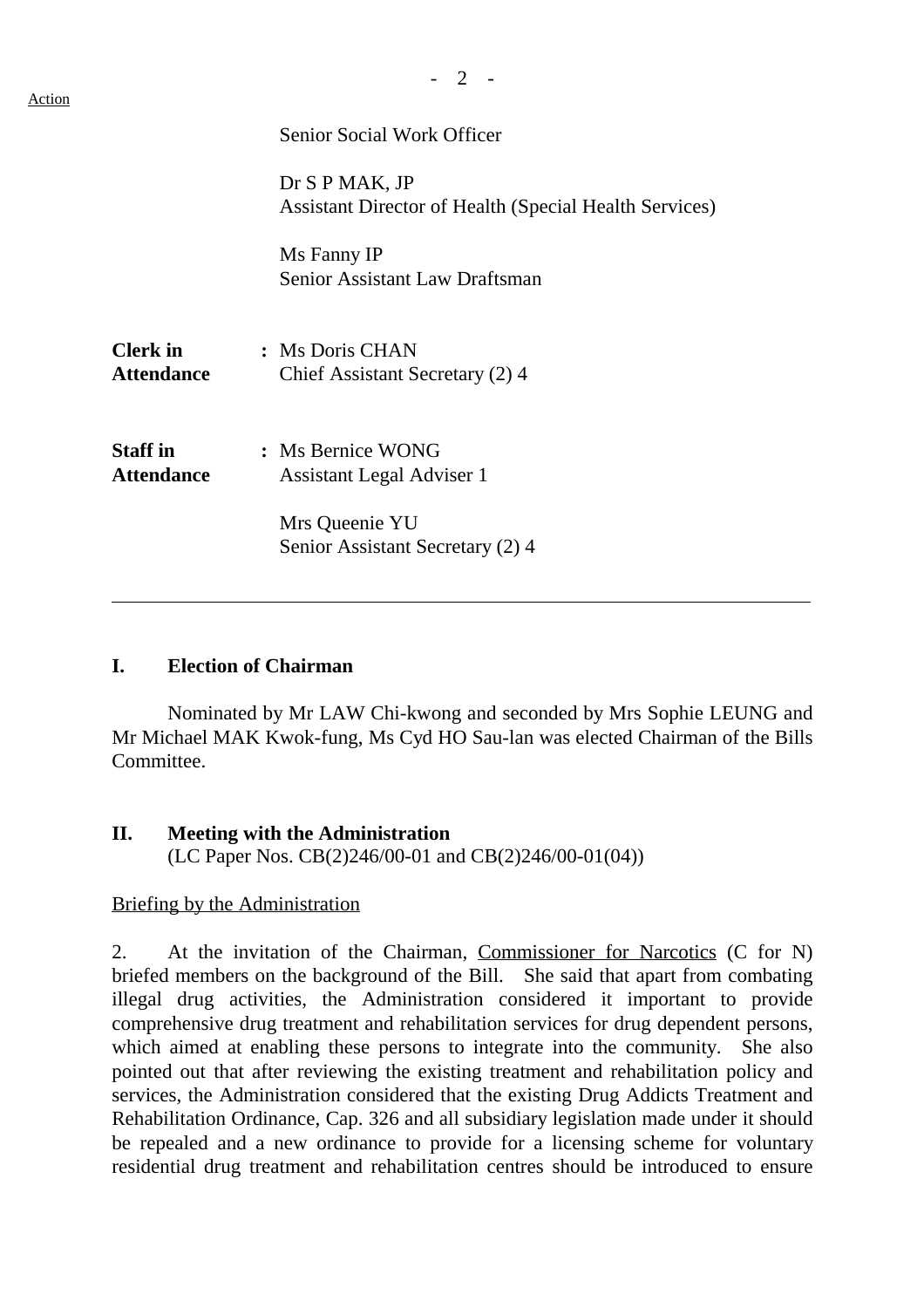|                                      | Senior Social Work Officer                                                      |
|--------------------------------------|---------------------------------------------------------------------------------|
|                                      | Dr S P MAK, JP<br><b>Assistant Director of Health (Special Health Services)</b> |
|                                      | Ms Fanny IP<br>Senior Assistant Law Draftsman                                   |
| <b>Clerk</b> in<br><b>Attendance</b> | : Ms Doris CHAN<br>Chief Assistant Secretary (2) 4                              |
| <b>Staff</b> in<br><b>Attendance</b> | : Ms Bernice WONG<br>Assistant Legal Adviser 1                                  |
|                                      | Mrs Queenie YU<br>Senior Assistant Secretary (2) 4                              |

#### **I. Election of Chairman**

Nominated by Mr LAW Chi-kwong and seconded by Mrs Sophie LEUNG and Mr Michael MAK Kwok-fung, Ms Cyd HO Sau-lan was elected Chairman of the Bills Committee.

#### **II. Meeting with the Administration**

(LC Paper Nos. CB(2)246/00-01 and CB(2)246/00-01(04))

#### Briefing by the Administration

2. At the invitation of the Chairman, Commissioner for Narcotics (C for N) briefed members on the background of the Bill. She said that apart from combating illegal drug activities, the Administration considered it important to provide comprehensive drug treatment and rehabilitation services for drug dependent persons, which aimed at enabling these persons to integrate into the community. She also pointed out that after reviewing the existing treatment and rehabilitation policy and services, the Administration considered that the existing Drug Addicts Treatment and Rehabilitation Ordinance, Cap. 326 and all subsidiary legislation made under it should be repealed and a new ordinance to provide for a licensing scheme for voluntary residential drug treatment and rehabilitation centres should be introduced to ensure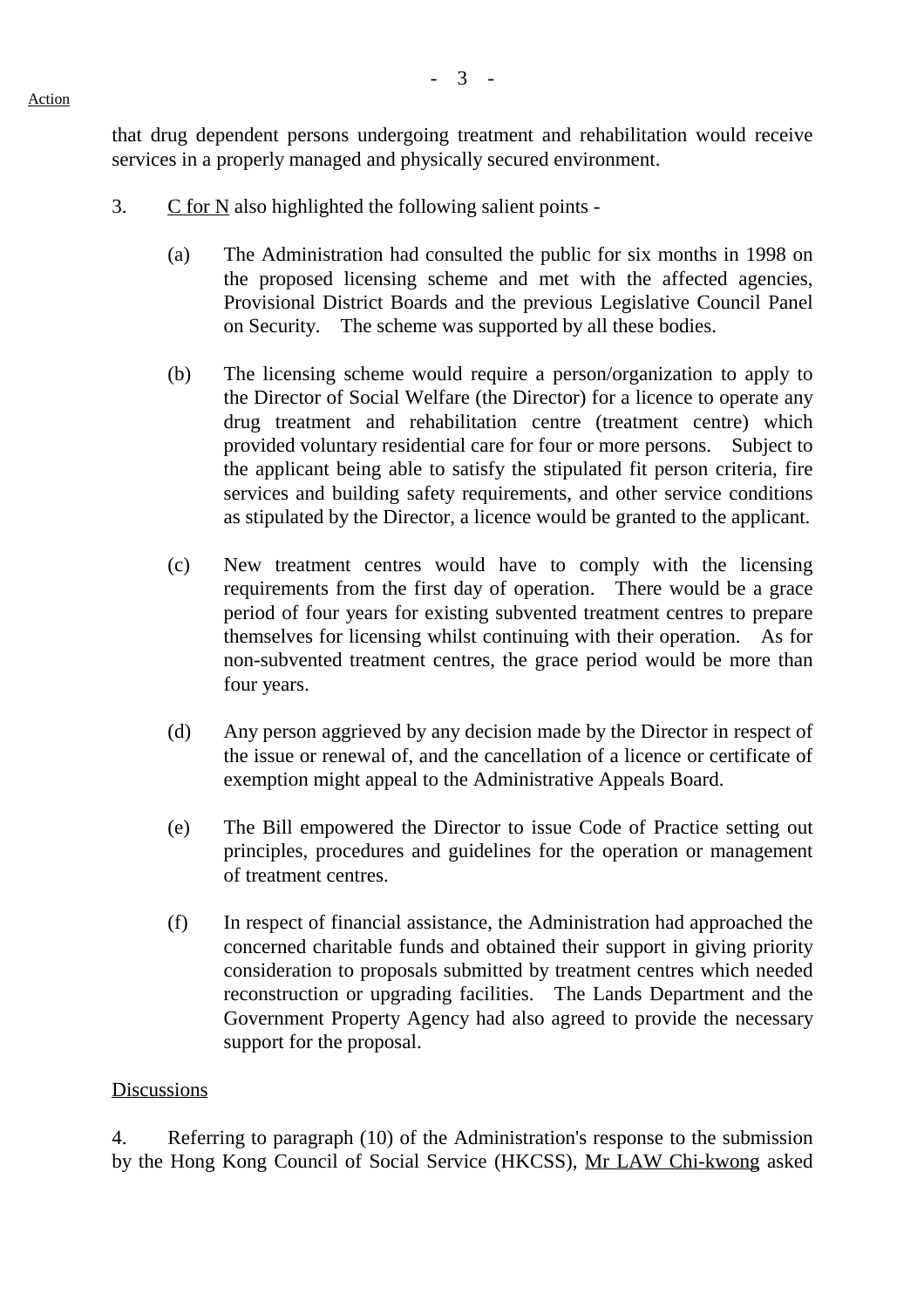that drug dependent persons undergoing treatment and rehabilitation would receive services in a properly managed and physically secured environment.

- 3.  $\overline{C}$  for N also highlighted the following salient points -
	- (a) The Administration had consulted the public for six months in 1998 on the proposed licensing scheme and met with the affected agencies, Provisional District Boards and the previous Legislative Council Panel on Security. The scheme was supported by all these bodies.
	- (b) The licensing scheme would require a person/organization to apply to the Director of Social Welfare (the Director) for a licence to operate any drug treatment and rehabilitation centre (treatment centre) which provided voluntary residential care for four or more persons. Subject to the applicant being able to satisfy the stipulated fit person criteria, fire services and building safety requirements, and other service conditions as stipulated by the Director, a licence would be granted to the applicant.
	- (c) New treatment centres would have to comply with the licensing requirements from the first day of operation. There would be a grace period of four years for existing subvented treatment centres to prepare themselves for licensing whilst continuing with their operation. As for non-subvented treatment centres, the grace period would be more than four years.
	- (d) Any person aggrieved by any decision made by the Director in respect of the issue or renewal of, and the cancellation of a licence or certificate of exemption might appeal to the Administrative Appeals Board.
	- (e) The Bill empowered the Director to issue Code of Practice setting out principles, procedures and guidelines for the operation or management of treatment centres.
	- (f) In respect of financial assistance, the Administration had approached the concerned charitable funds and obtained their support in giving priority consideration to proposals submitted by treatment centres which needed reconstruction or upgrading facilities. The Lands Department and the Government Property Agency had also agreed to provide the necessary support for the proposal.

## **Discussions**

4. Referring to paragraph (10) of the Administration's response to the submission by the Hong Kong Council of Social Service (HKCSS), Mr LAW Chi-kwong asked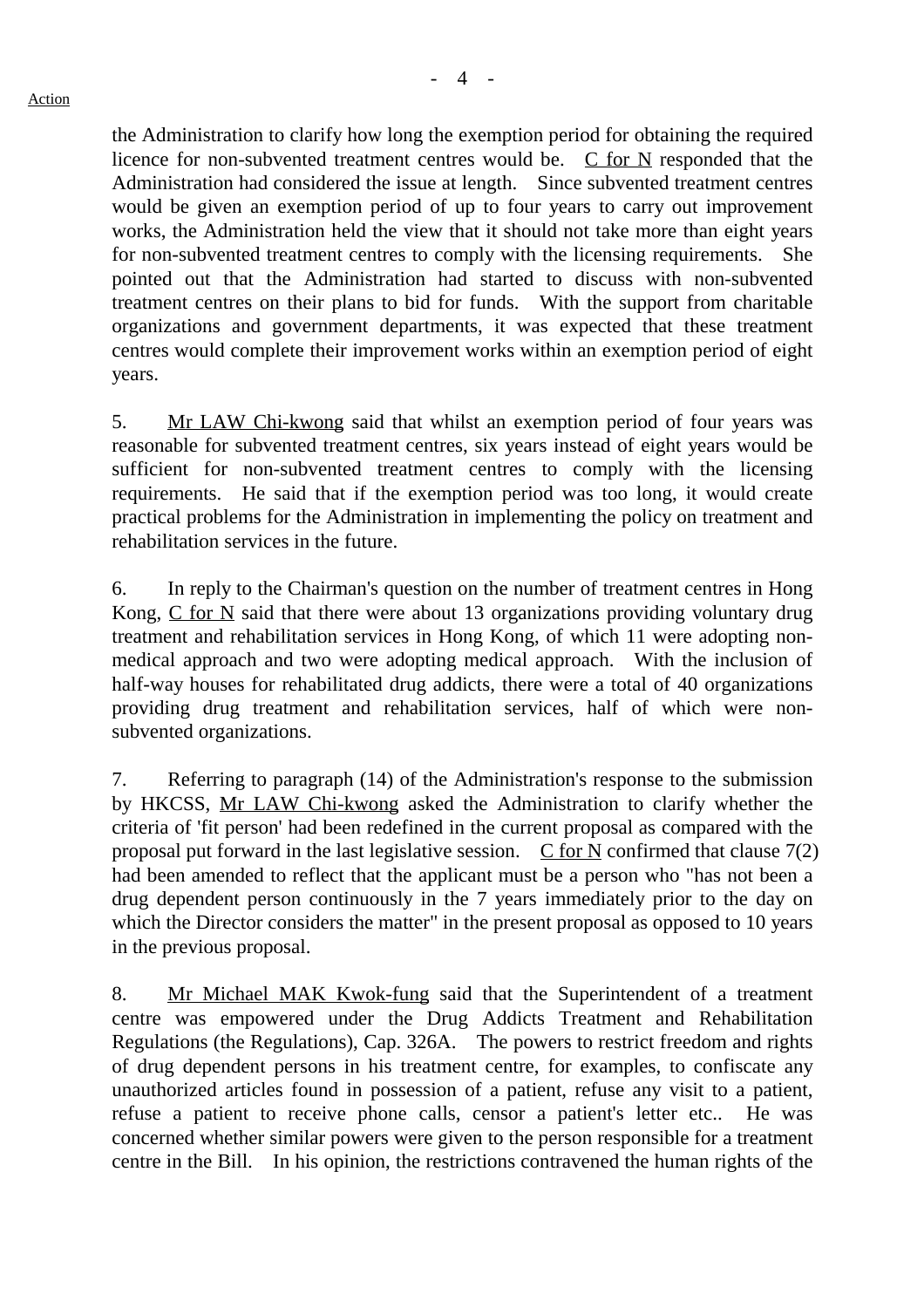the Administration to clarify how long the exemption period for obtaining the required licence for non-subvented treatment centres would be. C for N responded that the Administration had considered the issue at length. Since subvented treatment centres would be given an exemption period of up to four years to carry out improvement works, the Administration held the view that it should not take more than eight years for non-subvented treatment centres to comply with the licensing requirements. She pointed out that the Administration had started to discuss with non-subvented treatment centres on their plans to bid for funds. With the support from charitable organizations and government departments, it was expected that these treatment centres would complete their improvement works within an exemption period of eight years.

5. Mr LAW Chi-kwong said that whilst an exemption period of four years was reasonable for subvented treatment centres, six years instead of eight years would be sufficient for non-subvented treatment centres to comply with the licensing requirements. He said that if the exemption period was too long, it would create practical problems for the Administration in implementing the policy on treatment and rehabilitation services in the future.

6. In reply to the Chairman's question on the number of treatment centres in Hong Kong, C for N said that there were about 13 organizations providing voluntary drug treatment and rehabilitation services in Hong Kong, of which 11 were adopting nonmedical approach and two were adopting medical approach. With the inclusion of half-way houses for rehabilitated drug addicts, there were a total of 40 organizations providing drug treatment and rehabilitation services, half of which were nonsubvented organizations.

7. Referring to paragraph (14) of the Administration's response to the submission by HKCSS, Mr LAW Chi-kwong asked the Administration to clarify whether the criteria of 'fit person' had been redefined in the current proposal as compared with the proposal put forward in the last legislative session.  $\overline{C}$  for N confirmed that clause 7(2) had been amended to reflect that the applicant must be a person who "has not been a drug dependent person continuously in the 7 years immediately prior to the day on which the Director considers the matter" in the present proposal as opposed to 10 years in the previous proposal.

8. Mr Michael MAK Kwok-fung said that the Superintendent of a treatment centre was empowered under the Drug Addicts Treatment and Rehabilitation Regulations (the Regulations), Cap. 326A. The powers to restrict freedom and rights of drug dependent persons in his treatment centre, for examples, to confiscate any unauthorized articles found in possession of a patient, refuse any visit to a patient, refuse a patient to receive phone calls, censor a patient's letter etc.. He was concerned whether similar powers were given to the person responsible for a treatment centre in the Bill. In his opinion, the restrictions contravened the human rights of the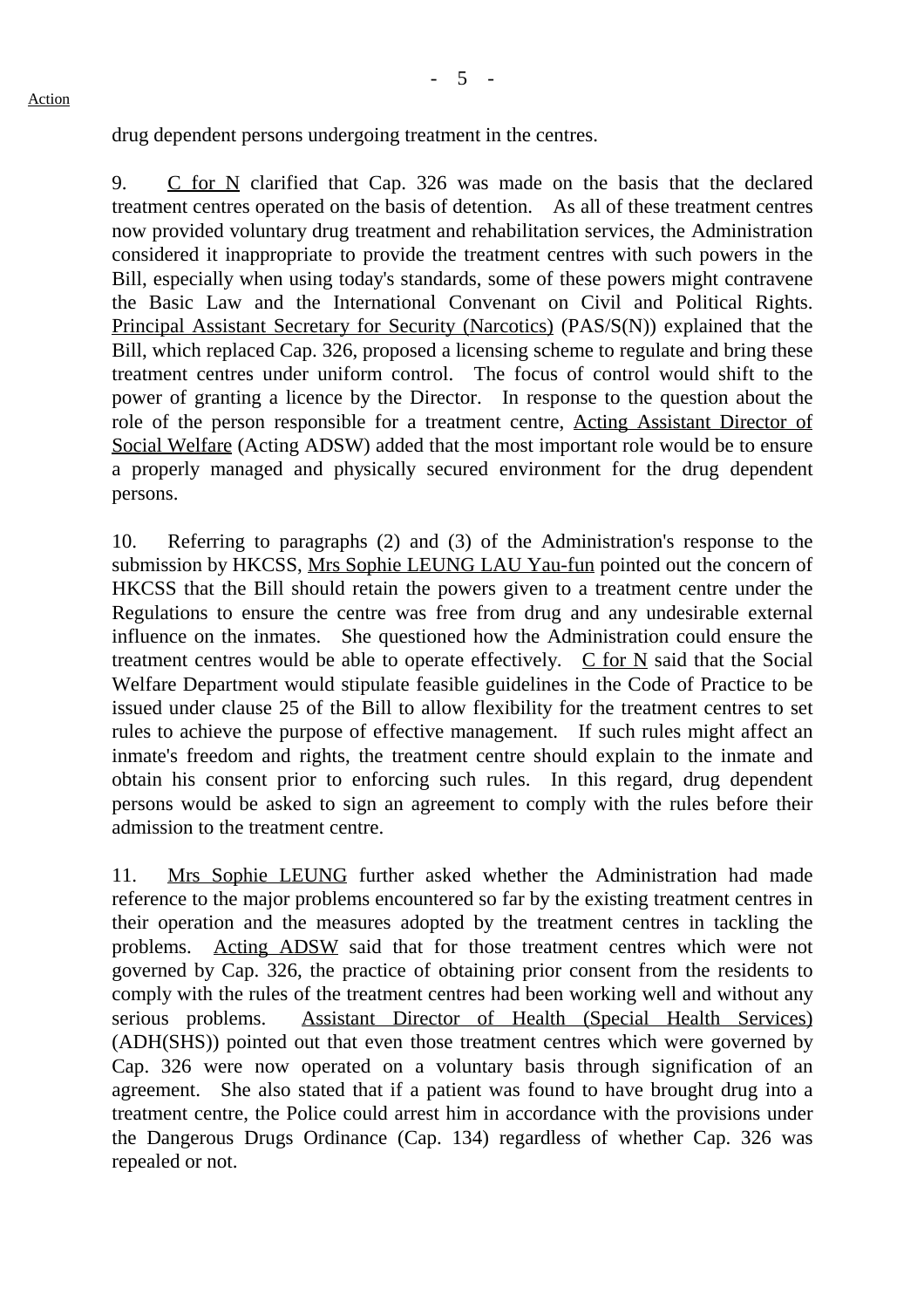drug dependent persons undergoing treatment in the centres.

9. C for N clarified that Cap. 326 was made on the basis that the declared treatment centres operated on the basis of detention. As all of these treatment centres now provided voluntary drug treatment and rehabilitation services, the Administration considered it inappropriate to provide the treatment centres with such powers in the Bill, especially when using today's standards, some of these powers might contravene the Basic Law and the International Convenant on Civil and Political Rights. Principal Assistant Secretary for Security (Narcotics) (PAS/S(N)) explained that the Bill, which replaced Cap. 326, proposed a licensing scheme to regulate and bring these treatment centres under uniform control. The focus of control would shift to the power of granting a licence by the Director. In response to the question about the role of the person responsible for a treatment centre, Acting Assistant Director of Social Welfare (Acting ADSW) added that the most important role would be to ensure a properly managed and physically secured environment for the drug dependent persons.

10. Referring to paragraphs (2) and (3) of the Administration's response to the submission by HKCSS, Mrs Sophie LEUNG LAU Yau-fun pointed out the concern of HKCSS that the Bill should retain the powers given to a treatment centre under the Regulations to ensure the centre was free from drug and any undesirable external influence on the inmates. She questioned how the Administration could ensure the treatment centres would be able to operate effectively.  $\overline{C}$  for N said that the Social Welfare Department would stipulate feasible guidelines in the Code of Practice to be issued under clause 25 of the Bill to allow flexibility for the treatment centres to set rules to achieve the purpose of effective management. If such rules might affect an inmate's freedom and rights, the treatment centre should explain to the inmate and obtain his consent prior to enforcing such rules. In this regard, drug dependent persons would be asked to sign an agreement to comply with the rules before their admission to the treatment centre.

11. Mrs Sophie LEUNG further asked whether the Administration had made reference to the major problems encountered so far by the existing treatment centres in their operation and the measures adopted by the treatment centres in tackling the problems. Acting ADSW said that for those treatment centres which were not governed by Cap. 326, the practice of obtaining prior consent from the residents to comply with the rules of the treatment centres had been working well and without any serious problems. Assistant Director of Health (Special Health Services) (ADH(SHS)) pointed out that even those treatment centres which were governed by Cap. 326 were now operated on a voluntary basis through signification of an agreement. She also stated that if a patient was found to have brought drug into a treatment centre, the Police could arrest him in accordance with the provisions under the Dangerous Drugs Ordinance (Cap. 134) regardless of whether Cap. 326 was repealed or not.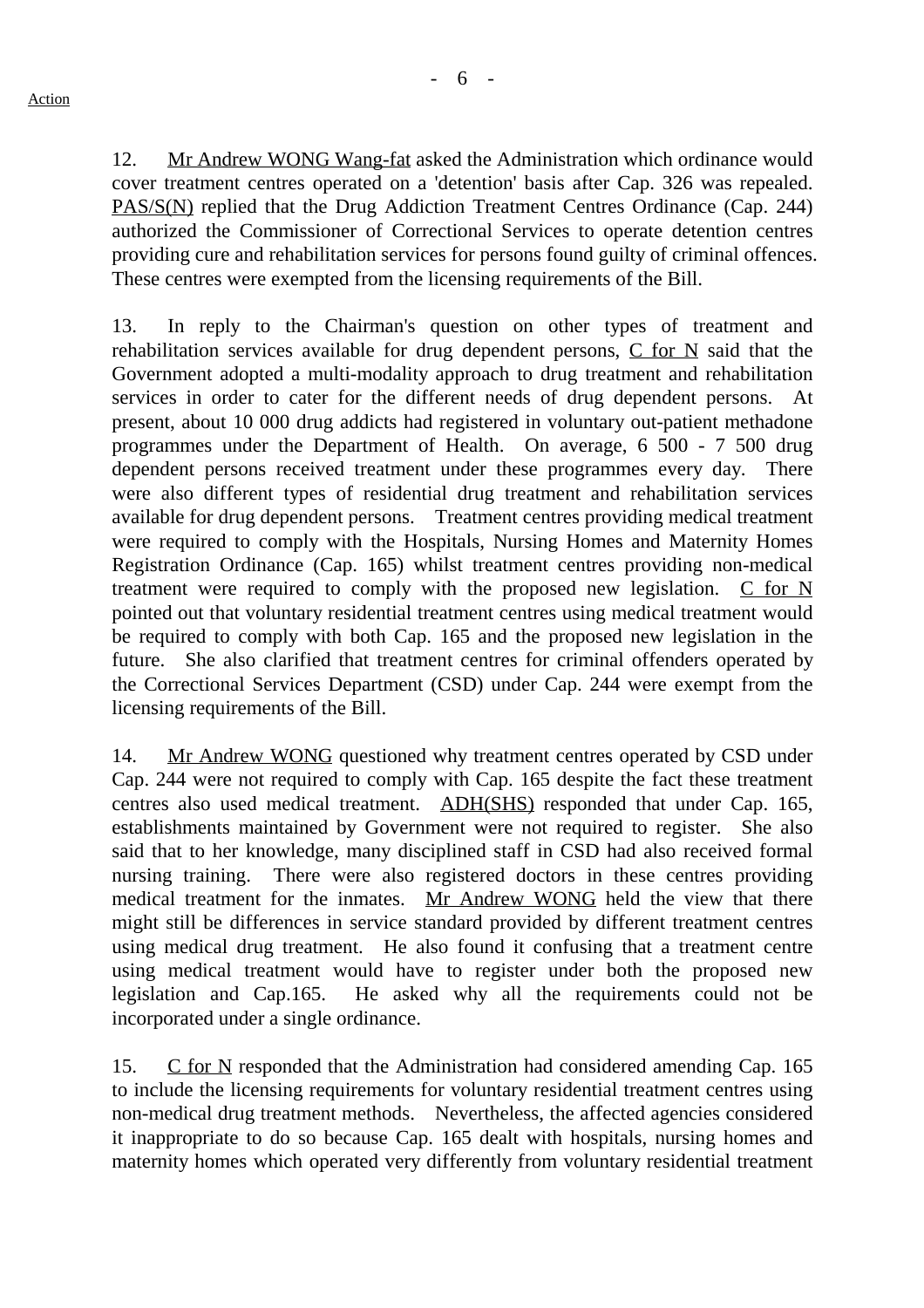12. Mr Andrew WONG Wang-fat asked the Administration which ordinance would cover treatment centres operated on a 'detention' basis after Cap. 326 was repealed. PAS/S(N) replied that the Drug Addiction Treatment Centres Ordinance (Cap. 244) authorized the Commissioner of Correctional Services to operate detention centres providing cure and rehabilitation services for persons found guilty of criminal offences. These centres were exempted from the licensing requirements of the Bill.

13. In reply to the Chairman's question on other types of treatment and rehabilitation services available for drug dependent persons,  $C$  for  $N$  said that the Government adopted a multi-modality approach to drug treatment and rehabilitation services in order to cater for the different needs of drug dependent persons. At present, about 10 000 drug addicts had registered in voluntary out-patient methadone programmes under the Department of Health. On average, 6 500 - 7 500 drug dependent persons received treatment under these programmes every day. There were also different types of residential drug treatment and rehabilitation services available for drug dependent persons. Treatment centres providing medical treatment were required to comply with the Hospitals, Nursing Homes and Maternity Homes Registration Ordinance (Cap. 165) whilst treatment centres providing non-medical treatment were required to comply with the proposed new legislation.  $C$  for N pointed out that voluntary residential treatment centres using medical treatment would be required to comply with both Cap. 165 and the proposed new legislation in the future. She also clarified that treatment centres for criminal offenders operated by the Correctional Services Department (CSD) under Cap. 244 were exempt from the licensing requirements of the Bill.

14. Mr Andrew WONG questioned why treatment centres operated by CSD under Cap. 244 were not required to comply with Cap. 165 despite the fact these treatment centres also used medical treatment. ADH(SHS) responded that under Cap. 165, establishments maintained by Government were not required to register. She also said that to her knowledge, many disciplined staff in CSD had also received formal nursing training. There were also registered doctors in these centres providing medical treatment for the inmates. Mr Andrew WONG held the view that there might still be differences in service standard provided by different treatment centres using medical drug treatment. He also found it confusing that a treatment centre using medical treatment would have to register under both the proposed new legislation and Cap.165. He asked why all the requirements could not be incorporated under a single ordinance.

15. C for N responded that the Administration had considered amending Cap. 165 to include the licensing requirements for voluntary residential treatment centres using non-medical drug treatment methods. Nevertheless, the affected agencies considered it inappropriate to do so because Cap. 165 dealt with hospitals, nursing homes and maternity homes which operated very differently from voluntary residential treatment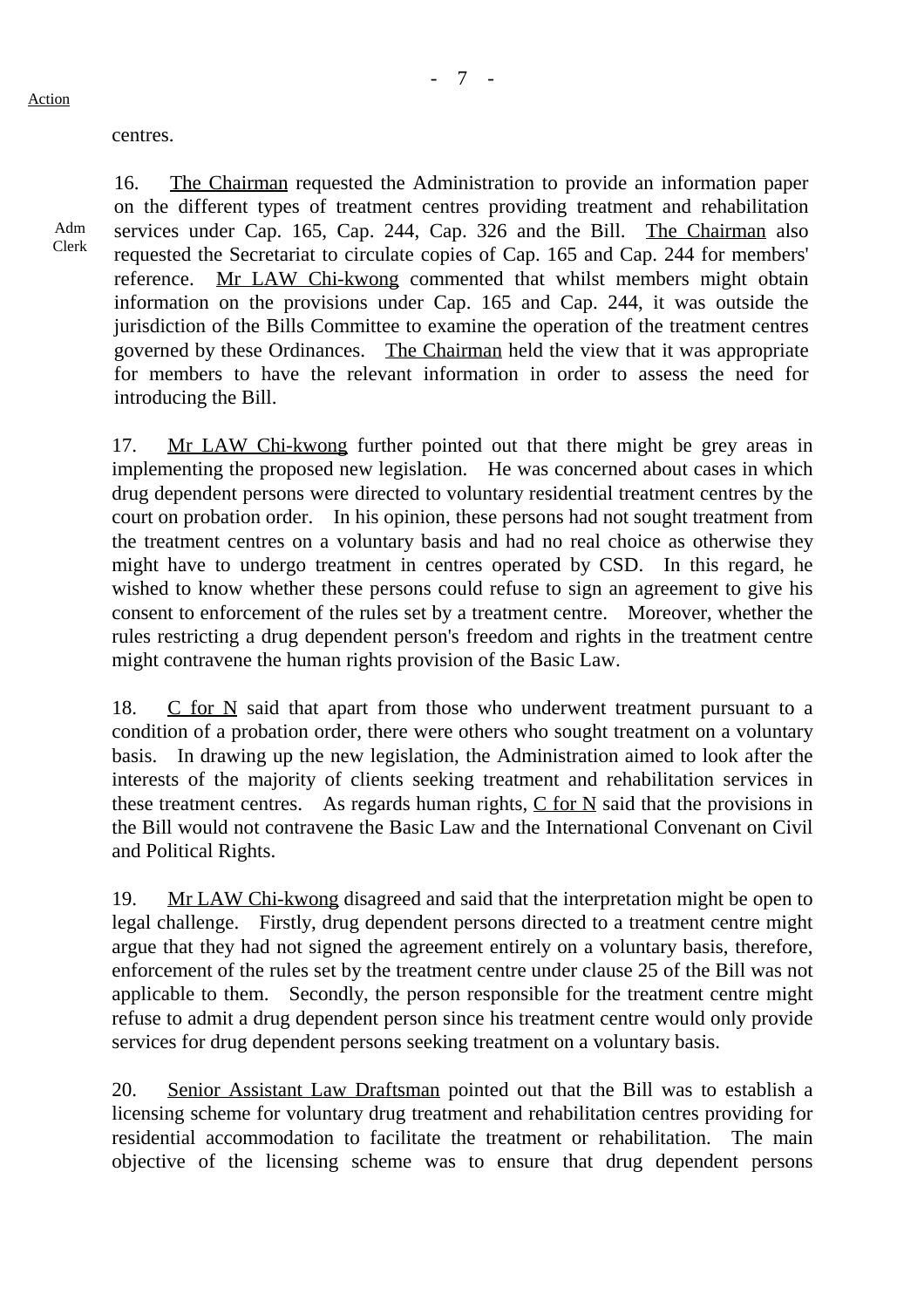#### centres.

Adm Clerk

16. The Chairman requested the Administration to provide an information paper on the different types of treatment centres providing treatment and rehabilitation services under Cap. 165, Cap. 244, Cap. 326 and the Bill. The Chairman also requested the Secretariat to circulate copies of Cap. 165 and Cap. 244 for members' reference. Mr LAW Chi-kwong commented that whilst members might obtain information on the provisions under Cap. 165 and Cap. 244, it was outside the jurisdiction of the Bills Committee to examine the operation of the treatment centres governed by these Ordinances. The Chairman held the view that it was appropriate for members to have the relevant information in order to assess the need for introducing the Bill.

17. Mr LAW Chi-kwong further pointed out that there might be grey areas in implementing the proposed new legislation. He was concerned about cases in which drug dependent persons were directed to voluntary residential treatment centres by the court on probation order. In his opinion, these persons had not sought treatment from the treatment centres on a voluntary basis and had no real choice as otherwise they might have to undergo treatment in centres operated by CSD. In this regard, he wished to know whether these persons could refuse to sign an agreement to give his consent to enforcement of the rules set by a treatment centre. Moreover, whether the rules restricting a drug dependent person's freedom and rights in the treatment centre might contravene the human rights provision of the Basic Law.

18. C for N said that apart from those who underwent treatment pursuant to a condition of a probation order, there were others who sought treatment on a voluntary basis. In drawing up the new legislation, the Administration aimed to look after the interests of the majority of clients seeking treatment and rehabilitation services in these treatment centres. As regards human rights,  $C$  for  $N$  said that the provisions in the Bill would not contravene the Basic Law and the International Convenant on Civil and Political Rights.

19. Mr LAW Chi-kwong disagreed and said that the interpretation might be open to legal challenge. Firstly, drug dependent persons directed to a treatment centre might argue that they had not signed the agreement entirely on a voluntary basis, therefore, enforcement of the rules set by the treatment centre under clause 25 of the Bill was not applicable to them. Secondly, the person responsible for the treatment centre might refuse to admit a drug dependent person since his treatment centre would only provide services for drug dependent persons seeking treatment on a voluntary basis.

20. Senior Assistant Law Draftsman pointed out that the Bill was to establish a licensing scheme for voluntary drug treatment and rehabilitation centres providing for residential accommodation to facilitate the treatment or rehabilitation. The main objective of the licensing scheme was to ensure that drug dependent persons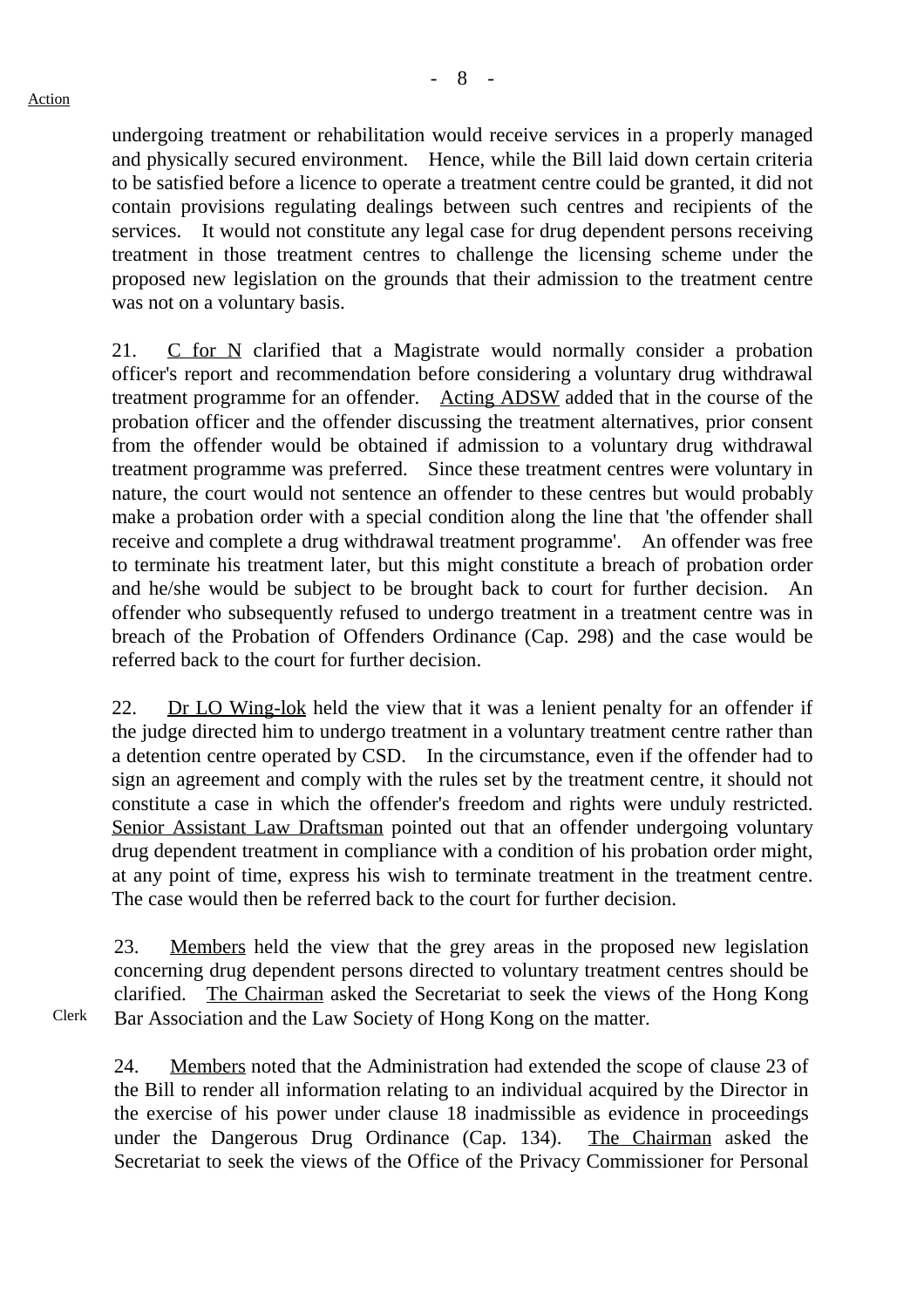Clerk

undergoing treatment or rehabilitation would receive services in a properly managed and physically secured environment. Hence, while the Bill laid down certain criteria to be satisfied before a licence to operate a treatment centre could be granted, it did not contain provisions regulating dealings between such centres and recipients of the services. It would not constitute any legal case for drug dependent persons receiving treatment in those treatment centres to challenge the licensing scheme under the proposed new legislation on the grounds that their admission to the treatment centre was not on a voluntary basis.

21. C for N clarified that a Magistrate would normally consider a probation officer's report and recommendation before considering a voluntary drug withdrawal treatment programme for an offender. Acting ADSW added that in the course of the probation officer and the offender discussing the treatment alternatives, prior consent from the offender would be obtained if admission to a voluntary drug withdrawal treatment programme was preferred. Since these treatment centres were voluntary in nature, the court would not sentence an offender to these centres but would probably make a probation order with a special condition along the line that 'the offender shall receive and complete a drug withdrawal treatment programme'. An offender was free to terminate his treatment later, but this might constitute a breach of probation order and he/she would be subject to be brought back to court for further decision. An offender who subsequently refused to undergo treatment in a treatment centre was in breach of the Probation of Offenders Ordinance (Cap. 298) and the case would be referred back to the court for further decision.

22. Dr LO Wing-lok held the view that it was a lenient penalty for an offender if the judge directed him to undergo treatment in a voluntary treatment centre rather than a detention centre operated by CSD. In the circumstance, even if the offender had to sign an agreement and comply with the rules set by the treatment centre, it should not constitute a case in which the offender's freedom and rights were unduly restricted. Senior Assistant Law Draftsman pointed out that an offender undergoing voluntary drug dependent treatment in compliance with a condition of his probation order might, at any point of time, express his wish to terminate treatment in the treatment centre. The case would then be referred back to the court for further decision.

23. Members held the view that the grey areas in the proposed new legislation concerning drug dependent persons directed to voluntary treatment centres should be clarified. The Chairman asked the Secretariat to seek the views of the Hong Kong Bar Association and the Law Society of Hong Kong on the matter.

24. Members noted that the Administration had extended the scope of clause 23 of the Bill to render all information relating to an individual acquired by the Director in the exercise of his power under clause 18 inadmissible as evidence in proceedings under the Dangerous Drug Ordinance (Cap. 134). The Chairman asked the Secretariat to seek the views of the Office of the Privacy Commissioner for Personal